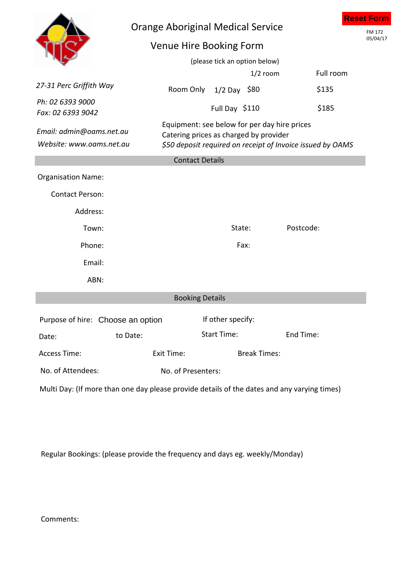|                                                      | <b>Orange Aboriginal Medical Service</b><br>Venue Hire Booking Form                                                                                  | (please tick an option below) |            |           |           | <b>Reset Form</b><br>FM 172<br>05/04/17 |  |  |  |  |
|------------------------------------------------------|------------------------------------------------------------------------------------------------------------------------------------------------------|-------------------------------|------------|-----------|-----------|-----------------------------------------|--|--|--|--|
|                                                      |                                                                                                                                                      |                               | $1/2$ room |           | Full room |                                         |  |  |  |  |
| 27-31 Perc Griffith Way                              | Room Only                                                                                                                                            | $1/2$ Day \$80                |            | \$135     |           |                                         |  |  |  |  |
| Ph: 02 6393 9000<br>Fax: 02 6393 9042                |                                                                                                                                                      | Full Day \$110                |            | \$185     |           |                                         |  |  |  |  |
| Email: admin@oams.net.au<br>Website: www.oams.net.au | Equipment: see below for per day hire prices<br>Catering prices as charged by provider<br>\$50 deposit required on receipt of Invoice issued by OAMS |                               |            |           |           |                                         |  |  |  |  |
| <b>Contact Details</b>                               |                                                                                                                                                      |                               |            |           |           |                                         |  |  |  |  |
| <b>Organisation Name:</b>                            |                                                                                                                                                      |                               |            |           |           |                                         |  |  |  |  |
| <b>Contact Person:</b>                               |                                                                                                                                                      |                               |            |           |           |                                         |  |  |  |  |
| Address:                                             |                                                                                                                                                      |                               |            |           |           |                                         |  |  |  |  |
| Town:                                                |                                                                                                                                                      | State:                        |            | Postcode: |           |                                         |  |  |  |  |
| Phone:                                               |                                                                                                                                                      | Fax:                          |            |           |           |                                         |  |  |  |  |
| Email:                                               |                                                                                                                                                      |                               |            |           |           |                                         |  |  |  |  |
| ABN:                                                 |                                                                                                                                                      |                               |            |           |           |                                         |  |  |  |  |
| <b>Booking Details</b>                               |                                                                                                                                                      |                               |            |           |           |                                         |  |  |  |  |
| Purpose of hire: Choose an option                    |                                                                                                                                                      | If other specify:             |            |           |           |                                         |  |  |  |  |
| to Date:<br>Date:                                    |                                                                                                                                                      | <b>Start Time:</b>            |            | End Time: |           |                                         |  |  |  |  |
| <b>Access Time:</b>                                  | <b>Break Times:</b><br>Exit Time:                                                                                                                    |                               |            |           |           |                                         |  |  |  |  |
| No. of Attendees:                                    | No. of Presenters:                                                                                                                                   |                               |            |           |           |                                         |  |  |  |  |

Multi Day: (If more than one day please provide details of the dates and any varying times)

Regular Bookings: (please provide the frequency and days eg. weekly/Monday)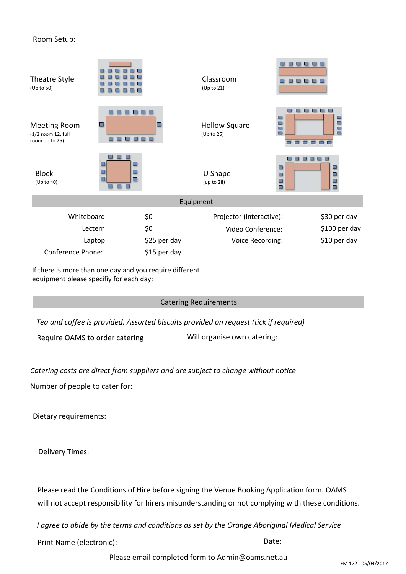## Room Setup:

| Theatre Style<br>(Up to 50)                                 |          |                   | Classroom<br>(Up to 21)            |                                                   |                                                  |  |  |  |  |
|-------------------------------------------------------------|----------|-------------------|------------------------------------|---------------------------------------------------|--------------------------------------------------|--|--|--|--|
| <b>Meeting Room</b><br>(1/2 room 12, full<br>room up to 25) |          | $\mathbb{Z}$<br>B | <b>Hollow Square</b><br>(Up to 25) | $\Box$<br>$\Box$<br>$\Box$<br><b>SEP</b><br>88888 | $\overline{\phantom{a}}$<br>$\Box$<br><b>SEP</b> |  |  |  |  |
| <b>Block</b><br>(Up to 40)                                  | 图<br>501 |                   | U Shape<br>(up to 28)              | 00<br>$\Box$                                      | ш<br>ш                                           |  |  |  |  |
| Equipment                                                   |          |                   |                                    |                                                   |                                                  |  |  |  |  |
| Whiteboard:                                                 |          | \$0               | Projector (Interactive):           |                                                   | \$30 per day                                     |  |  |  |  |
| Lectern:                                                    |          | \$0               | Video Conference:                  |                                                   | \$100 per day                                    |  |  |  |  |
| Laptop:                                                     |          | \$25 per day      | Voice Recording:                   |                                                   | \$10 per day                                     |  |  |  |  |
| <b>Conference Phone:</b>                                    |          | \$15 per day      |                                    |                                                   |                                                  |  |  |  |  |

If there is more than one day and you require different equipment please specifiy for each day:

## Catering Requirements

*Tea and coffee is provided. Assorted biscuits provided on request (tick if required)*

Require OAMS to order catering Will organise own catering:

Will bring catering

*Catering costs are direct from suppliers and are subject to change without notice*

Number of people to cater for:

Dietary requirements:

Delivery Times:

Please read the Conditions of Hire before signing the Venue Booking Application form. OAMS will not accept responsibility for hirers misunderstanding or not complying with these conditions.

*I agree to abide by the terms and conditions as set by the Orange Aboriginal Medical Service*

Print Name (electronic): Date:

Please email completed form to Admin@oams.net.au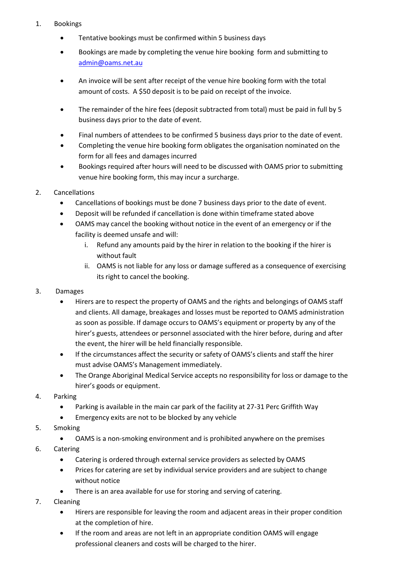## 1. Bookings

- Tentative bookings must be confirmed within 5 business days
- Bookings are made by completing the venue hire booking form and submitting to admin@oams.net.au
- An invoice will be sent after receipt of the venue hire booking form with the total amount of costs. A \$50 deposit is to be paid on receipt of the invoice.
- The remainder of the hire fees (deposit subtracted from total) must be paid in full by 5 business days prior to the date of event.
- Final numbers of attendees to be confirmed 5 business days prior to the date of event.
- Completing the venue hire booking form obligates the organisation nominated on the form for all fees and damages incurred
- Bookings required after hours will need to be discussed with OAMS prior to submitting venue hire booking form, this may incur a surcharge.
- 2. Cancellations
	- Cancellations of bookings must be done 7 business days prior to the date of event.
	- Deposit will be refunded if cancellation is done within timeframe stated above
	- OAMS may cancel the booking without notice in the event of an emergency or if the facility is deemed unsafe and will:
		- i. Refund any amounts paid by the hirer in relation to the booking if the hirer is without fault
		- ii. OAMS is not liable for any loss or damage suffered as a consequence of exercising its right to cancel the booking.
- 3. Damages
	- Hirers are to respect the property of OAMS and the rights and belongings of OAMS staff and clients. All damage, breakages and losses must be reported to OAMS administration as soon as possible. If damage occurs to OAMS's equipment or property by any of the hirer's guests, attendees or personnel associated with the hirer before, during and after the event, the hirer will be held financially responsible.
	- If the circumstances affect the security or safety of OAMS's clients and staff the hirer must advise OAMS's Management immediately.
	- The Orange Aboriginal Medical Service accepts no responsibility for loss or damage to the hirer's goods or equipment.
- 4. Parking
	- Parking is available in the main car park of the facility at 27-31 Perc Griffith Way
	- Emergency exits are not to be blocked by any vehicle
- 5. Smoking
	- OAMS is a non-smoking environment and is prohibited anywhere on the premises
- 6. Catering
	- Catering is ordered through external service providers as selected by OAMS
	- Prices for catering are set by individual service providers and are subject to change without notice
	- There is an area available for use for storing and serving of catering.
- 7. Cleaning
	- Hirers are responsible for leaving the room and adjacent areas in their proper condition at the completion of hire.
	- If the room and areas are not left in an appropriate condition OAMS will engage professional cleaners and costs will be charged to the hirer.